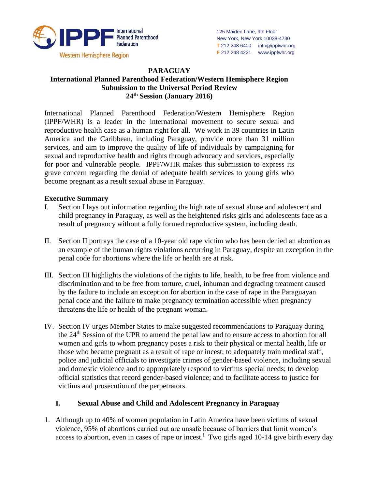

#### **PARAGUAY**

### **International Planned Parenthood Federation/Western Hemisphere Region Submission to the Universal Period Review 24th Session (January 2016)**

International Planned Parenthood Federation/Western Hemisphere Region (IPPF/WHR) is a leader in the international movement to secure sexual and reproductive health case as a human right for all. We work in 39 countries in Latin America and the Caribbean, including Paraguay, provide more than 31 million services, and aim to improve the quality of life of individuals by campaigning for sexual and reproductive health and rights through advocacy and services, especially for poor and vulnerable people. IPPF/WHR makes this submission to express its grave concern regarding the denial of adequate health services to young girls who become pregnant as a result sexual abuse in Paraguay.

#### **Executive Summary**

- I. Section I lays out information regarding the high rate of sexual abuse and adolescent and child pregnancy in Paraguay, as well as the heightened risks girls and adolescents face as a result of pregnancy without a fully formed reproductive system, including death.
- II. Section II portrays the case of a 10-year old rape victim who has been denied an abortion as an example of the human rights violations occurring in Paraguay, despite an exception in the penal code for abortions where the life or health are at risk.
- III. Section III highlights the violations of the rights to life, health, to be free from violence and discrimination and to be free from torture, cruel, inhuman and degrading treatment caused by the failure to include an exception for abortion in the case of rape in the Paraguayan penal code and the failure to make pregnancy termination accessible when pregnancy threatens the life or health of the pregnant woman.
- IV. Section IV urges Member States to make suggested recommendations to Paraguay during the 24th Session of the UPR to amend the penal law and to ensure access to abortion for all women and girls to whom pregnancy poses a risk to their physical or mental health, life or those who became pregnant as a result of rape or incest; to adequately train medical staff, police and judicial officials to investigate crimes of gender-based violence, including sexual and domestic violence and to appropriately respond to victims special needs; to develop official statistics that record gender-based violence; and to facilitate access to justice for victims and prosecution of the perpetrators.

### **I. Sexual Abuse and Child and Adolescent Pregnancy in Paraguay**

1. Although up to 40% of women population in Latin America have been victims of sexual violence, 95% of abortions carried out are unsafe because of barriers that limit women's access to abortion, even in cases of rape or incest.<sup>i</sup> Two girls aged 10-14 give birth every day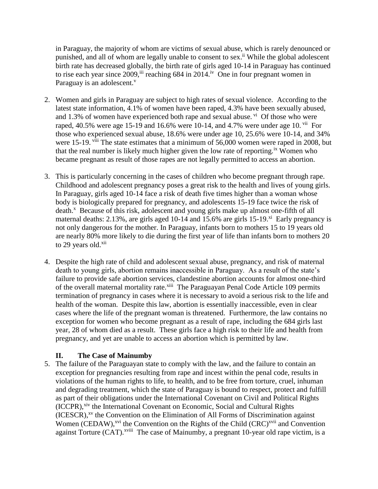in Paraguay, the majority of whom are victims of sexual abuse, which is rarely denounced or punished, and all of whom are legally unable to consent to sex.<sup>ii</sup> While the global adolescent birth rate has decreased globally, the birth rate of girls aged 10-14 in Paraguay has continued to rise each year since  $2009$ , ii reaching 684 in  $2014$ .<sup>iv</sup> One in four pregnant women in Paraguay is an adolescent. $v$ 

- 2. Women and girls in Paraguay are subject to high rates of sexual violence. According to the latest state information, 4.1% of women have been raped, 4.3% have been sexually abused, and 1.3% of women have experienced both rape and sexual abuse.  $\overline{v}$  Of those who were raped, 40.5% were age 15-19 and 16.6% were 10-14, and 4.7% were under age 10.  $\frac{v_{\text{ii}}}{v_{\text{f}}}$  For those who experienced sexual abuse, 18.6% were under age 10, 25.6% were 10-14, and 34% were 15-19. <sup>viii</sup> The state estimates that a minimum of 56,000 women were raped in 2008, but that the real number is likely much higher given the low rate of reporting.<sup>ix</sup> Women who became pregnant as result of those rapes are not legally permitted to access an abortion.
- 3. This is particularly concerning in the cases of children who become pregnant through rape. Childhood and adolescent pregnancy poses a great risk to the health and lives of young girls. In Paraguay, girls aged 10-14 face a risk of death five times higher than a woman whose body is biologically prepared for pregnancy, and adolescents 15-19 face twice the risk of death.<sup>x</sup> Because of this risk, adolescent and young girls make up almost one-fifth of all maternal deaths:  $2.13\%$ , are girls aged 10-14 and 15.6% are girls 15-19. $^{xi}$  Early pregnancy is not only dangerous for the mother. In Paraguay, infants born to mothers 15 to 19 years old are nearly 80% more likely to die during the first year of life than infants born to mothers 20 to 29 years old.<sup>xii</sup>
- 4. Despite the high rate of child and adolescent sexual abuse, pregnancy, and risk of maternal death to young girls, abortion remains inaccessible in Paraguay. As a result of the state's failure to provide safe abortion services, clandestine abortion accounts for almost one-third of the overall maternal mortality rate.<sup>xiii</sup> The Paraguayan Penal Code Article 109 permits termination of pregnancy in cases where it is necessary to avoid a serious risk to the life and health of the woman. Despite this law, abortion is essentially inaccessible, even in clear cases where the life of the pregnant woman is threatened. Furthermore, the law contains no exception for women who become pregnant as a result of rape, including the 684 girls last year, 28 of whom died as a result. These girls face a high risk to their life and health from pregnancy, and yet are unable to access an abortion which is permitted by law.

### **II. The Case of Mainumby**

5. The failure of the Paraguayan state to comply with the law, and the failure to contain an exception for pregnancies resulting from rape and incest within the penal code, results in violations of the human rights to life, to health, and to be free from torture, cruel, inhuman and degrading treatment, which the state of Paraguay is bound to respect, protect and fulfill as part of their obligations under the International Covenant on Civil and Political Rights (ICCPR), xiv the International Covenant on Economic, Social and Cultural Rights (ICESCR), xv the Convention on the Elimination of All Forms of Discrimination against Women (CEDAW),<sup>xvi</sup> the Convention on the Rights of the Child (CRC)<sup>xvii</sup> and Convention against Torture (CAT).<sup>xviii</sup> The case of Mainumby, a pregnant 10-year old rape victim, is a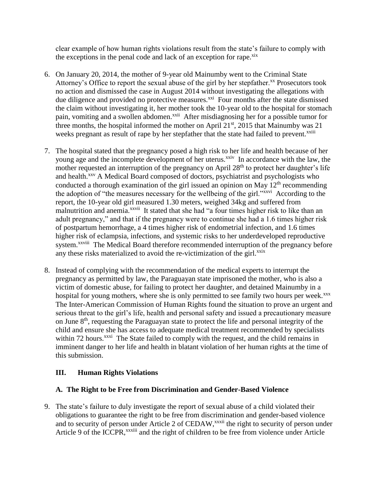clear example of how human rights violations result from the state's failure to comply with the exceptions in the penal code and lack of an exception for rape.<sup>xix</sup>

- 6. On January 20, 2014, the mother of 9-year old Mainumby went to the Criminal State Attorney's Office to report the sexual abuse of the girl by her stepfather.<sup>xx</sup> Prosecutors took no action and dismissed the case in August 2014 without investigating the allegations with due diligence and provided no protective measures.<sup>xxi</sup> Four months after the state dismissed the claim without investigating it, her mother took the 10-year old to the hospital for stomach pain, vomiting and a swollen abdomen.<sup>xxii</sup> After misdiagnosing her for a possible tumor for three months, the hospital informed the mother on April  $21<sup>st</sup>$ ,  $2015$  that Mainumby was  $21$ weeks pregnant as result of rape by her stepfather that the state had failed to prevent.<sup>xxiii</sup>
- 7. The hospital stated that the pregnancy posed a high risk to her life and health because of her young age and the incomplete development of her uterus.<sup>xxiv</sup> In accordance with the law, the mother requested an interruption of the pregnancy on April  $28<sup>th</sup>$  to protect her daughter's life and health.<sup>xxv</sup> A Medical Board composed of doctors, psychiatrist and psychologists who conducted a thorough examination of the girl issued an opinion on May  $12<sup>th</sup>$  recommending the adoption of "the measures necessary for the wellbeing of the girl."<sup>xxxvi</sup> According to the report, the 10-year old girl measured 1.30 meters, weighed 34kg and suffered from malnutrition and anemia.<sup>xxvii</sup> It stated that she had "a four times higher risk to like than an adult pregnancy," and that if the pregnancy were to continue she had a 1.6 times higher risk of postpartum hemorrhage, a 4 times higher risk of endometrial infection, and 1.6 times higher risk of eclampsia, infections, and systemic risks to her underdeveloped reproductive system.<sup>xxviii</sup> The Medical Board therefore recommended interruption of the pregnancy before any these risks materialized to avoid the re-victimization of the girl.<sup>xxix</sup>
- 8. Instead of complying with the recommendation of the medical experts to interrupt the pregnancy as permitted by law, the Paraguayan state imprisoned the mother, who is also a victim of domestic abuse, for failing to protect her daughter, and detained Mainumby in a hospital for young mothers, where she is only permitted to see family two hours per week.<sup>xxx</sup> The Inter-American Commission of Human Rights found the situation to prove an urgent and serious threat to the girl's life, health and personal safety and issued a precautionary measure on June  $8<sup>th</sup>$ , requesting the Paraguayan state to protect the life and personal integrity of the child and ensure she has access to adequate medical treatment recommended by specialists within 72 hours.<sup>xxxi</sup> The State failed to comply with the request, and the child remains in imminent danger to her life and health in blatant violation of her human rights at the time of this submission.

# **III. Human Rights Violations**

# **A. The Right to be Free from Discrimination and Gender-Based Violence**

9. The state's failure to duly investigate the report of sexual abuse of a child violated their obligations to guarantee the right to be free from discrimination and gender-based violence and to security of person under Article 2 of CEDAW,<sup>xxxii</sup> the right to security of person under Article 9 of the ICCPR,<sup>xxxiii</sup> and the right of children to be free from violence under Article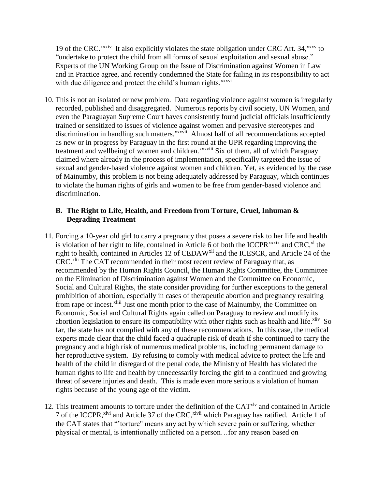19 of the CRC.<sup>xxxiv</sup> It also explicitly violates the state obligation under CRC Art. 34,<sup>xxxv</sup> to "undertake to protect the child from all forms of sexual exploitation and sexual abuse." Experts of the UN Working Group on the Issue of Discrimination against Women in Law and in Practice agree, and recently condemned the State for failing in its responsibility to act with due diligence and protect the child's human rights.<sup>xxxvi</sup>

10. This is not an isolated or new problem. Data regarding violence against women is irregularly recorded, published and disaggregated. Numerous reports by civil society, UN Women, and even the Paraguayan Supreme Court haves consistently found judicial officials insufficiently trained or sensitized to issues of violence against women and pervasive stereotypes and discrimination in handling such matters.<sup>xxxvii</sup> Almost half of all recommendations accepted as new or in progress by Paraguay in the first round at the UPR regarding improving the treatment and wellbeing of women and children.<sup>xxxviii</sup> Six of them, all of which Paraguay claimed where already in the process of implementation, specifically targeted the issue of sexual and gender-based violence against women and children. Yet, as evidenced by the case of Mainumby, this problem is not being adequately addressed by Paraguay, which continues to violate the human rights of girls and women to be free from gender-based violence and discrimination.

### **B. The Right to Life, Health, and Freedom from Torture, Cruel, Inhuman & Degrading Treatment**

- 11. Forcing a 10-year old girl to carry a pregnancy that poses a severe risk to her life and health is violation of her right to life, contained in Article 6 of both the ICCPR<sup>xxxix</sup> and CRC,<sup>xl</sup> the right to health, contained in Articles 12 of CEDAW<sup>xli</sup> and the ICESCR, and Article 24 of the CRC.<sup>xlii</sup> The CAT recommended in their most recent review of Paraguay that, as recommended by the Human Rights Council, the Human Rights Committee, the Committee on the Elimination of Discrimination against Women and the Committee on Economic, Social and Cultural Rights, the state consider providing for further exceptions to the general prohibition of abortion, especially in cases of therapeutic abortion and pregnancy resulting from rape or incest.<sup>xliii</sup> Just one month prior to the case of Mainumby, the Committee on Economic, Social and Cultural Rights again called on Paraguay to review and modify its abortion legislation to ensure its compatibility with other rights such as health and life. ${}^{x}$  So far, the state has not complied with any of these recommendations. In this case, the medical experts made clear that the child faced a quadruple risk of death if she continued to carry the pregnancy and a high risk of numerous medical problems, including permanent damage to her reproductive system. By refusing to comply with medical advice to protect the life and health of the child in disregard of the penal code, the Ministry of Health has violated the human rights to life and health by unnecessarily forcing the girl to a continued and growing threat of severe injuries and death. This is made even more serious a violation of human rights because of the young age of the victim.
- 12. This treatment amounts to torture under the definition of the CAT<sup>xlv</sup> and contained in Article 7 of the ICCPR,<sup>xlvi</sup> and Article 37 of the CRC,<sup>xlvii</sup> which Paraguay has ratified. Article 1 of the CAT states that "'torture" means any act by which severe pain or suffering, whether physical or mental, is intentionally inflicted on a person…for any reason based on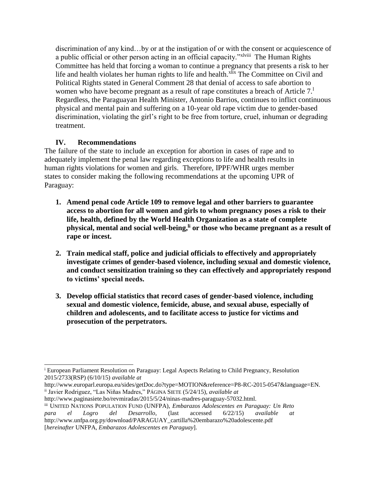discrimination of any kind…by or at the instigation of or with the consent or acquiescence of a public official or other person acting in an official capacity."<sup>xlviii</sup> The Human Rights Committee has held that forcing a woman to continue a pregnancy that presents a risk to her life and health violates her human rights to life and health.<sup>xlix</sup> The Committee on Civil and Political Rights stated in General Comment 28 that denial of access to safe abortion to women who have become pregnant as a result of rape constitutes a breach of Article 7.<sup>1</sup> Regardless, the Paraguayan Health Minister, Antonio Barrios, continues to inflict continuous physical and mental pain and suffering on a 10-year old rape victim due to gender-based discrimination, violating the girl's right to be free from torture, cruel, inhuman or degrading treatment.

# **IV. Recommendations**

j

The failure of the state to include an exception for abortion in cases of rape and to adequately implement the penal law regarding exceptions to life and health results in human rights violations for women and girls. Therefore, IPPF/WHR urges member states to consider making the following recommendations at the upcoming UPR of Paraguay:

- **1. Amend penal code Article 109 to remove legal and other barriers to guarantee access to abortion for all women and girls to whom pregnancy poses a risk to their life, health, defined by the World Health Organization as a state of complete physical, mental and social well-being, li or those who became pregnant as a result of rape or incest.**
- **2. Train medical staff, police and judicial officials to effectively and appropriately investigate crimes of gender-based violence, including sexual and domestic violence, and conduct sensitization training so they can effectively and appropriately respond to victims' special needs.**
- **3. Develop official statistics that record cases of gender-based violence, including sexual and domestic violence, femicide, abuse, and sexual abuse, especially of children and adolescents, and to facilitate access to justice for victims and prosecution of the perpetrators.**

<sup>&</sup>lt;sup>i</sup> European Parliament Resolution on Paraguay: Legal Aspects Relating to Child Pregnancy, Resolution 2015/2733(RSP) (6/10/15) *available at*

http://www.europarl.europa.eu/sides/getDoc.do?type=MOTION&reference=P8-RC-2015-0547&language=EN. ii Javier Rodriguez, "Las Niñas Madres," PÁGINA SIETE (5/24/15), *available at*

http://www.paginasiete.bo/revmiradas/2015/5/24/ninas-madres-paraguay-57032.html. iii UNITED NATIONS POPULATION FUND (UNFPA), *Embarazos Adolescentes en Paraguay: Un Reto para el Logro del Desarrollo*, (last accessed 6/22/15) *available at*  http://www.unfpa.org.py/download/PARAGUAY\_cartilla%20embarazo%20adolescente.pdf [*hereinafter* UNFPA, *Embarazos Adolescentes en Paraguay*].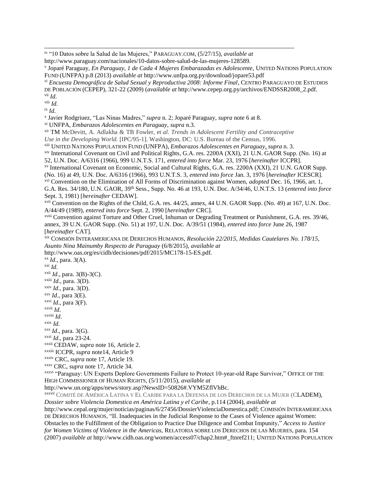iv "10 Datos sobre la Salud de las Mujeres," PARAGUAY.COM, (5/27/15), *available at*

http://www.paraguay.com/nacionales/10-datos-sobre-salud-de-las-mujeres-128589.

v Joparé Paraguay, *En Paraguay, 1 de Cada 4 Mujeres Embarazadas es Adolescente*, UNITED NATIONS POPULATION FUND (UNFPA) p.8 (2013) *available at* http://www.unfpa.org.py/download/jopare53.pdf

vi *Encuesta Demográfica de Salud Sexual y Reproductiva 2008: Informe Final*, CENTRO PARAGUAYO DE ESTUDIOS DE POBLACIÓN (CEPEP), 321-22 (2009) (*available at* http://www.cepep.org.py/archivos/ENDSSR2008\_2.pdf. vii *Id*.

viii *Id*.

j

ix *Id*.

x Javier Rodgriuez, "Las Ninas Madres," *supra* n. 2; Joparé Paraguay, *supra* note 6 at 8.

xi UNFPA, *Embarazos Adolescentes en Paraguay, supra* n.3.

xii TM McDevitt, A. Adlakha & TB Fowler, et *al. Trends in Adolescent Fertility and Contraceptive Use in the Developing World.* [IPC/95-1]. Washington, DC: U.S. Bureau of the Census, 1996.

xiii UNITED NATIONS POPULATION FUND (UNFPA), *Embarazos Adolescentes en Paraguay, supra* n. 3.

xiv International Covenant on Civil and Political Rights, G.A. res. 2200A (XXI), 21 U.N. GAOR Supp. (No. 16) at 52, U.N. Doc. A/6316 (1966), 999 U.N.T.S. 171, *entered into force* Mar. 23, 1976 [*hereinafter* ICCPR].

xv International Covenant on Economic, Social and Cultural Rights, G.A. res. 2200A (XXI), 21 U.N. GAOR Supp.

(No. 16) at 49, U.N. Doc. A/6316 (1966), 993 U.N.T.S. 3, *entered into force* Jan. 3, 1976 [*hereinafter* ICESCR].

xvi Convention on the Elimination of All Forms of Discrimination against Women, *adopted* Dec. 16, 1966, art. 1,

G.A. Res. 34/180, U.N. GAOR, 39th Sess., Supp. No. 46 at 193, U.N. Doc. A/34/46, U.N.T.S. 13 (*entered into force* Sept. 3, 1981) [*hereinafter* CEDAW].

xvii Convention on the Rights of the Child, G.A. res. 44/25, annex, 44 U.N. GAOR Supp. (No. 49) at 167, U.N. Doc. A/44/49 (1989), *entered into force* Sept. 2, 1990 [*hereinafter* CRC].

xviii Convention against Torture and Other Cruel, Inhuman or Degrading Treatment or Punishment, G.A. res. 39/46, annex, 39 U.N. GAOR Supp. (No. 51) at 197, U.N. Doc. A/39/51 (1984), *entered into force* June 26, 1987 [*hereinafter* CAT].

xix COMSIÓN INTERAMERICANA DE DERECHOS HUMANOS, *Resolución 22/2015, Medidas Cautelares No. 178/15, Asunto Nina Mainumby Respecto de Paraguay* (6/8/2015), *available at* 

http://www.oas.org/es/cidh/decisiones/pdf/2015/MC178-15-ES.pdf.

xx *Id*., para. 3(A).  $\overline{X}^{\text{xi}}$  *Id.* 

 $x^{\text{xiii}}$  *Id.*, para. 3(B)-3(C).

xxiii *Id*., para. 3(D).

xxiv *Id*., para. 3(D).

xxv *Id*., para 3(E).

xxvi *Id*., para 3(F).

xxvii *Id*.

xxviii *Id*.

xxix *Id*.

xxx *Id*., para. 3(G).

xxxi *Id*., para 23-24.

xxxii CEDAW, *supra* note 16, Article 2.

xxxiii ICCPR, *supra* note14, Article 9

xxxiv CRC, *supra* note 17, Article 19.

xxxv CRC, *supra* note 17, Article 34.

xxxvi "Paraguay: UN Experts Deplore Governments Failure to Protect 10-year-old Rape Survivor," OFFICE OF THE HIGH COMMISSIONER OF HUMAN RIGHTS, (5/11/2015), *available at* 

http://www.un.org/apps/news/story.asp?NewsID=50826#.VYM5ZflVhBc.

xxxvii COMITÉ DE AMÉRICA LATINA Y EL CARIBE PARA LA DEFENSA DE LOS DERECHOS DE LA MUJER (CLADEM), *Dossier sobre Violencia Domestica en América Latina y el Caribe*, p.114 (2004), *available at*  http://www.cepal.org/mujer/noticias/paginas/6/27456/DossierViolenciaDomestica.pdf; COMISIÓN INTERAMERICANA DE DERECHOS HUMANOS, "II. Inadequacies in the Judicial Response to the Cases of Violence against Women: Obstacles to the Fulfillment of the Obligation to Practice Due Diligence and Combat Impunity," *Access to Justice for Women Victims of Violence in the Americas,* RELATORIA SOBRE LOS DERECHOS DE LAS MUJERES, para. 154

(2007) *available at* http://www.cidh.oas.org/women/access07/chap2.htm#\_ftnref211; UNITED NATIONS POPULATION